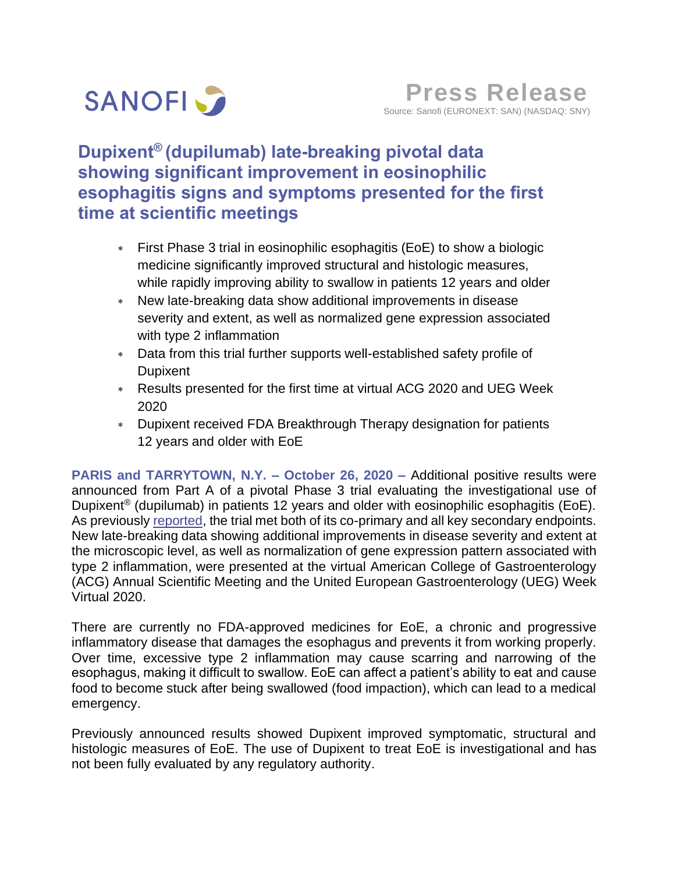

# **Dupixent® (dupilumab) late-breaking pivotal data showing significant improvement in eosinophilic esophagitis signs and symptoms presented for the first time at scientific meetings**

- First Phase 3 trial in eosinophilic esophagitis (EoE) to show a biologic medicine significantly improved structural and histologic measures, while rapidly improving ability to swallow in patients 12 years and older
- New late-breaking data show additional improvements in disease severity and extent, as well as normalized gene expression associated with type 2 inflammation
- Data from this trial further supports well-established safety profile of Dupixent
- Results presented for the first time at virtual ACG 2020 and UEG Week 2020
- Dupixent received FDA Breakthrough Therapy designation for patients 12 years and older with EoE

**PARIS and TARRYTOWN, N.Y. – October 26, 2020 –** Additional positive results were announced from Part A of a pivotal Phase 3 trial evaluating the investigational use of Dupixent® (dupilumab) in patients 12 years and older with eosinophilic esophagitis (EoE). As previously [reported,](https://www.sanofi.com/en/media-room/press-releases/2020/2020-05-23-00-25-00) the trial met both of its co-primary and all key secondary endpoints. New late-breaking data showing additional improvements in disease severity and extent at the microscopic level, as well as normalization of gene expression pattern associated with type 2 inflammation, were presented at the virtual American College of Gastroenterology (ACG) Annual Scientific Meeting and the United European Gastroenterology (UEG) Week Virtual 2020.

There are currently no FDA-approved medicines for EoE, a chronic and progressive inflammatory disease that damages the esophagus and prevents it from working properly. Over time, excessive type 2 inflammation may cause scarring and narrowing of the esophagus, making it difficult to swallow. EoE can affect a patient's ability to eat and cause food to become stuck after being swallowed (food impaction), which can lead to a medical emergency.

Previously announced results showed Dupixent improved symptomatic, structural and histologic measures of EoE. The use of Dupixent to treat EoE is investigational and has not been fully evaluated by any regulatory authority.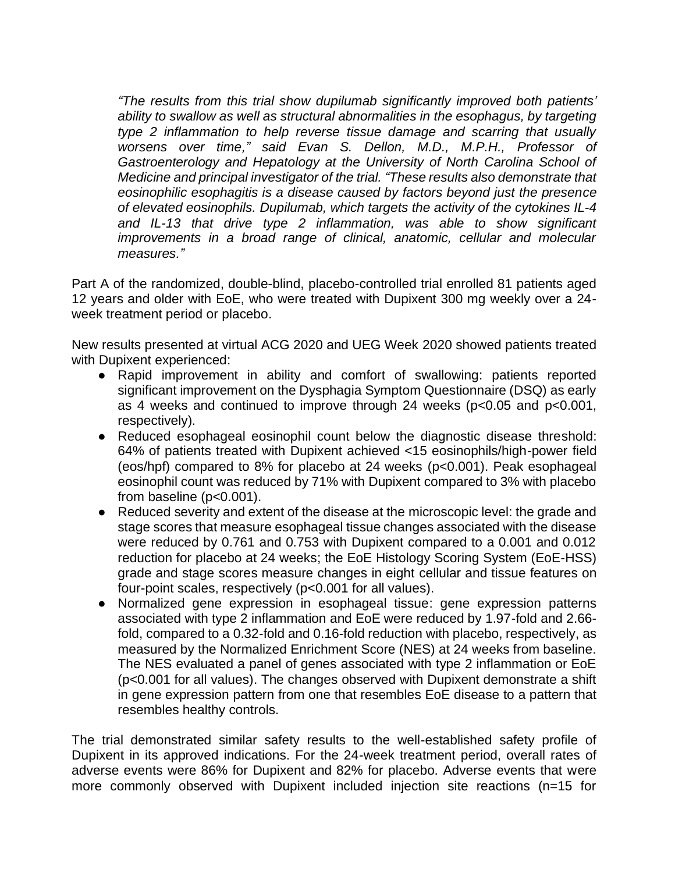*"The results from this trial show dupilumab significantly improved both patients' ability to swallow as well as structural abnormalities in the esophagus, by targeting type 2 inflammation to help reverse tissue damage and scarring that usually worsens over time," said Evan S. Dellon, M.D., M.P.H., Professor of Gastroenterology and Hepatology at the University of North Carolina School of Medicine and principal investigator of the trial. "These results also demonstrate that eosinophilic esophagitis is a disease caused by factors beyond just the presence of elevated eosinophils. Dupilumab, which targets the activity of the cytokines IL-4 and IL-13 that drive type 2 inflammation, was able to show significant improvements in a broad range of clinical, anatomic, cellular and molecular measures."*

Part A of the randomized, double-blind, placebo-controlled trial enrolled 81 patients aged 12 years and older with EoE, who were treated with Dupixent 300 mg weekly over a 24 week treatment period or placebo.

New results presented at virtual ACG 2020 and UEG Week 2020 showed patients treated with Dupixent experienced:

- Rapid improvement in ability and comfort of swallowing: patients reported significant improvement on the Dysphagia Symptom Questionnaire (DSQ) as early as 4 weeks and continued to improve through 24 weeks (p<0.05 and p<0.001, respectively).
- Reduced esophageal eosinophil count below the diagnostic disease threshold: 64% of patients treated with Dupixent achieved <15 eosinophils/high-power field (eos/hpf) compared to 8% for placebo at 24 weeks (p<0.001). Peak esophageal eosinophil count was reduced by 71% with Dupixent compared to 3% with placebo from baseline (p<0.001).
- Reduced severity and extent of the disease at the microscopic level: the grade and stage scores that measure esophageal tissue changes associated with the disease were reduced by 0.761 and 0.753 with Dupixent compared to a 0.001 and 0.012 reduction for placebo at 24 weeks; the EoE Histology Scoring System (EoE-HSS) grade and stage scores measure changes in eight cellular and tissue features on four-point scales, respectively (p<0.001 for all values).
- Normalized gene expression in esophageal tissue: gene expression patterns associated with type 2 inflammation and EoE were reduced by 1.97-fold and 2.66 fold, compared to a 0.32-fold and 0.16-fold reduction with placebo, respectively, as measured by the Normalized Enrichment Score (NES) at 24 weeks from baseline. The NES evaluated a panel of genes associated with type 2 inflammation or EoE (p<0.001 for all values). The changes observed with Dupixent demonstrate a shift in gene expression pattern from one that resembles EoE disease to a pattern that resembles healthy controls.

The trial demonstrated similar safety results to the well-established safety profile of Dupixent in its approved indications. For the 24-week treatment period, overall rates of adverse events were 86% for Dupixent and 82% for placebo. Adverse events that were more commonly observed with Dupixent included injection site reactions (n=15 for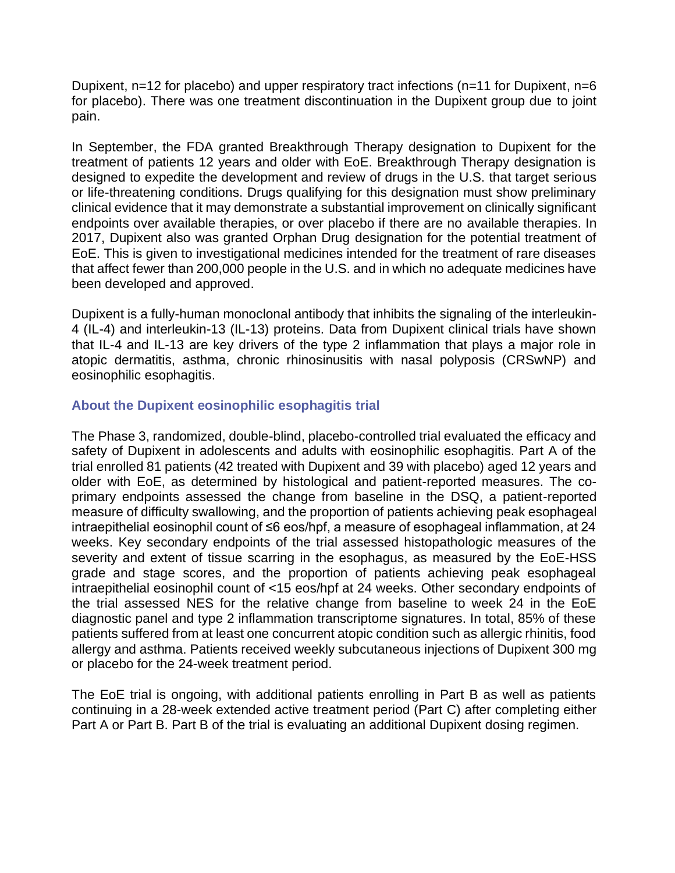Dupixent, n=12 for placebo) and upper respiratory tract infections (n=11 for Dupixent, n=6 for placebo). There was one treatment discontinuation in the Dupixent group due to joint pain.

In September, the FDA granted Breakthrough Therapy designation to Dupixent for the treatment of patients 12 years and older with EoE. Breakthrough Therapy designation is designed to expedite the development and review of drugs in the U.S. that target serious or life-threatening conditions. Drugs qualifying for this designation must show preliminary clinical evidence that it may demonstrate a substantial improvement on clinically significant endpoints over available therapies, or over placebo if there are no available therapies. In 2017, Dupixent also was granted Orphan Drug designation for the potential treatment of EoE. This is given to investigational medicines intended for the treatment of rare diseases that affect fewer than 200,000 people in the U.S. and in which no adequate medicines have been developed and approved.

Dupixent is a fully-human monoclonal antibody that inhibits the signaling of the interleukin-4 (IL-4) and interleukin-13 (IL-13) proteins. Data from Dupixent clinical trials have shown that IL-4 and IL-13 are key drivers of the type 2 inflammation that plays a major role in atopic dermatitis, asthma, chronic rhinosinusitis with nasal polyposis (CRSwNP) and eosinophilic esophagitis.

## **About the Dupixent eosinophilic esophagitis trial**

The Phase 3, randomized, double-blind, placebo-controlled trial evaluated the efficacy and safety of Dupixent in adolescents and adults with eosinophilic esophagitis. Part A of the trial enrolled 81 patients (42 treated with Dupixent and 39 with placebo) aged 12 years and older with EoE, as determined by histological and patient-reported measures. The coprimary endpoints assessed the change from baseline in the DSQ, a patient-reported measure of difficulty swallowing, and the proportion of patients achieving peak esophageal intraepithelial eosinophil count of ≤6 eos/hpf, a measure of esophageal inflammation, at 24 weeks. Key secondary endpoints of the trial assessed histopathologic measures of the severity and extent of tissue scarring in the esophagus, as measured by the EoE-HSS grade and stage scores, and the proportion of patients achieving peak esophageal intraepithelial eosinophil count of <15 eos/hpf at 24 weeks. Other secondary endpoints of the trial assessed NES for the relative change from baseline to week 24 in the EoE diagnostic panel and type 2 inflammation transcriptome signatures. In total, 85% of these patients suffered from at least one concurrent atopic condition such as allergic rhinitis, food allergy and asthma. Patients received weekly subcutaneous injections of Dupixent 300 mg or placebo for the 24-week treatment period.

The EoE trial is ongoing, with additional patients enrolling in Part B as well as patients continuing in a 28-week extended active treatment period (Part C) after completing either Part A or Part B. Part B of the trial is evaluating an additional Dupixent dosing regimen.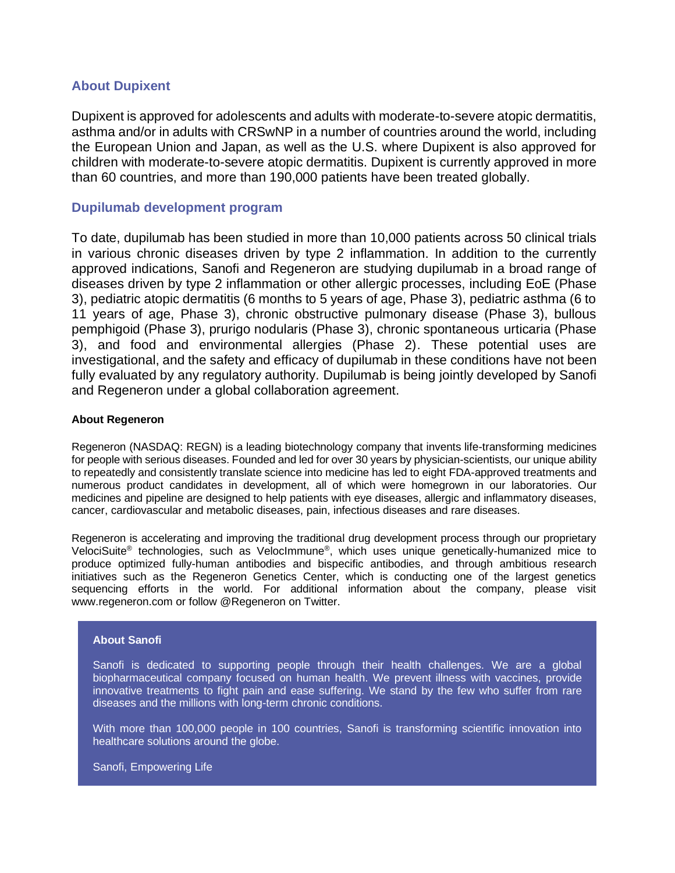## **About Dupixent**

Dupixent is approved for adolescents and adults with moderate-to-severe atopic dermatitis, asthma and/or in adults with CRSwNP in a number of countries around the world, including the European Union and Japan, as well as the U.S. where Dupixent is also approved for children with moderate-to-severe atopic dermatitis. Dupixent is currently approved in more than 60 countries, and more than 190,000 patients have been treated globally.

## **Dupilumab development program**

To date, dupilumab has been studied in more than 10,000 patients across 50 clinical trials in various chronic diseases driven by type 2 inflammation. In addition to the currently approved indications, Sanofi and Regeneron are studying dupilumab in a broad range of diseases driven by type 2 inflammation or other allergic processes, including EoE (Phase 3), pediatric atopic dermatitis (6 months to 5 years of age, Phase 3), pediatric asthma (6 to 11 years of age, Phase 3), chronic obstructive pulmonary disease (Phase 3), bullous pemphigoid (Phase 3), prurigo nodularis (Phase 3), chronic spontaneous urticaria (Phase 3), and food and environmental allergies (Phase 2). These potential uses are investigational, and the safety and efficacy of dupilumab in these conditions have not been fully evaluated by any regulatory authority. Dupilumab is being jointly developed by Sanofi and Regeneron under a global collaboration agreement.

### **About Regeneron**

Regeneron (NASDAQ: REGN) is a leading biotechnology company that invents life-transforming medicines for people with serious diseases. Founded and led for over 30 years by physician-scientists, our unique ability to repeatedly and consistently translate science into medicine has led to eight FDA-approved treatments and numerous product candidates in development, all of which were homegrown in our laboratories. Our medicines and pipeline are designed to help patients with eye diseases, allergic and inflammatory diseases, cancer, cardiovascular and metabolic diseases, pain, infectious diseases and rare diseases.

Regeneron is accelerating and improving the traditional drug development process through our proprietary VelociSuite® technologies, such as VelocImmune® , which uses unique genetically-humanized mice to produce optimized fully-human antibodies and bispecific antibodies, and through ambitious research initiatives such as the Regeneron Genetics Center, which is conducting one of the largest genetics sequencing efforts in the world. For additional information about the company, please visit www.regeneron.com or follow @Regeneron on Twitter.

### **About Sanofi**

Sanofi is dedicated to supporting people through their health challenges. We are a global biopharmaceutical company focused on human health. We prevent illness with vaccines, provide innovative treatments to fight pain and ease suffering. We stand by the few who suffer from rare diseases and the millions with long-term chronic conditions.

With more than 100,000 people in 100 countries, Sanofi is transforming scientific innovation into healthcare solutions around the globe.

Sanofi, Empowering Life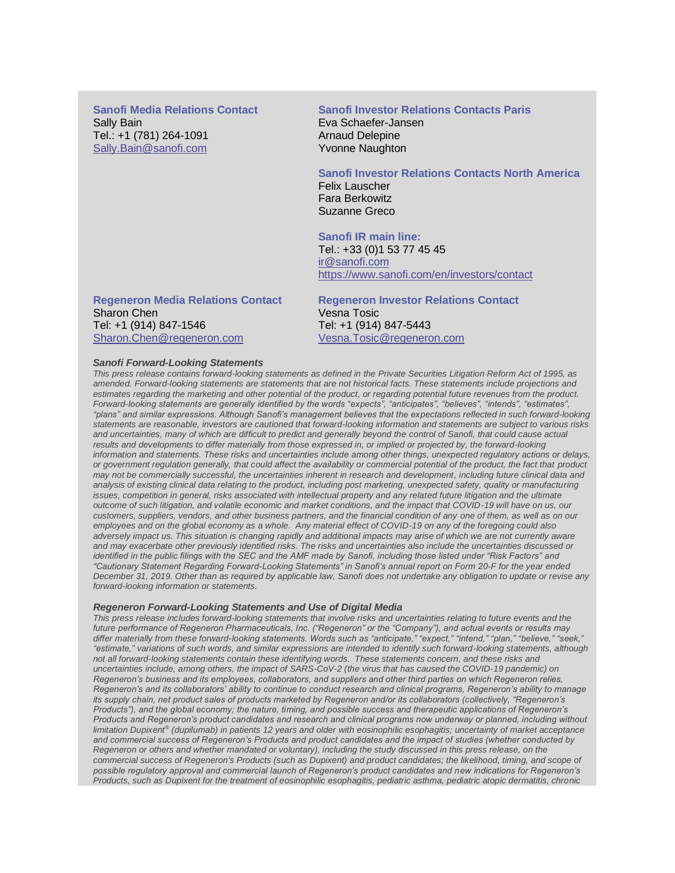**Sanofi Media Relations Contact**  Sally Bain Tel.: +1 (781) 264-1091 [Sally.Bain@sanofi.com](mailto:Sally.Bain@sanofi.com)

## **Sanofi Investor Relations Contacts Paris**

Eva Schaefer-Jansen Arnaud Delepine Yvonne Naughton

### **Sanofi Investor Relations Contacts North America**

Felix Lauscher Fara Berkowitz Suzanne Greco

### **Sanofi IR main line:**

Tel.: +33 (0)1 53 77 45 45 [ir@sanofi.com](mailto:ir@sanofi.com) https://www.sanofi.com/en/investors/contact

**Regeneron Media Relations Contact**  Sharon Chen Tel: +1 (914) 847-1546 [Sharon.Chen@regeneron.com](mailto:Hannah.Kwagh@regeneron.com) 

**Regeneron Investor Relations Contact**  Vesna Tosic Tel: +1 (914) 847-5443 [Vesna.Tosic@regeneron.com](mailto:Vesna.Tosic@regeneron.com)

#### *Sanofi Forward-Looking Statements*

*This press release contains forward-looking statements as defined in the Private Securities Litigation Reform Act of 1995, as amended. Forward-looking statements are statements that are not historical facts. These statements include projections and estimates regarding the marketing and other potential of the product, or regarding potential future revenues from the product. Forward-looking statements are generally identified by the words "expects", "anticipates", "believes", "intends", "estimates", "plans" and similar expressions. Although Sanofi's management believes that the expectations reflected in such forward-looking statements are reasonable, investors are cautioned that forward-looking information and statements are subject to various risks and uncertainties, many of which are difficult to predict and generally beyond the control of Sanofi, that could cause actual*  results and developments to differ materially from those expressed in, or implied or projected by, the forward-looking *information and statements. These risks and uncertainties include among other things, unexpected regulatory actions or delays, or government regulation generally, that could affect the availability or commercial potential of the product, the fact that product may not be commercially successful, the uncertainties inherent in research and development, including future clinical data and analysis of existing clinical data relating to the product, including post marketing, unexpected safety, quality or manufacturing*  issues, competition in general, risks associated with intellectual property and any related future litigation and the ultimate *outcome of such litigation, and volatile economic and market conditions, and the impact that COVID-19 will have on us, our customers, suppliers, vendors, and other business partners, and the financial condition of any one of them, as well as on our employees and on the global economy as a whole. Any material effect of COVID-19 on any of the foregoing could also*  adversely impact us. This situation is changing rapidly and additional impacts may arise of which we are not currently aware *and may exacerbate other previously identified risks. The risks and uncertainties also include the uncertainties discussed or identified in the public filings with the SEC and the AMF made by Sanofi, including those listed under "Risk Factors" and "Cautionary Statement Regarding Forward-Looking Statements" in Sanofi's annual report on Form 20-F for the year ended December 31, 2019. Other than as required by applicable law, Sanofi does not undertake any obligation to update or revise any forward-looking information or statements.*

#### *Regeneron Forward-Looking Statements and Use of Digital Media*

*This press release includes forward-looking statements that involve risks and uncertainties relating to future events and the future performance of Regeneron Pharmaceuticals, Inc. ("Regeneron" or the "Company"), and actual events or results may differ materially from these forward-looking statements. Words such as "anticipate," "expect," "intend," "plan," "believe," "seek," "estimate," variations of such words, and similar expressions are intended to identify such forward-looking statements, although not all forward-looking statements contain these identifying words. These statements concern, and these risks and uncertainties include, among others, the impact of SARS-CoV-2 (the virus that has caused the COVID-19 pandemic) on Regeneron's business and its employees, collaborators, and suppliers and other third parties on which Regeneron relies, Regeneron's and its collaborators' ability to continue to conduct research and clinical programs, Regeneron's ability to manage its supply chain, net product sales of products marketed by Regeneron and/or its collaborators (collectively, "Regeneron's Products"), and the global economy; the nature, timing, and possible success and therapeutic applications of Regeneron's Products and Regeneron's product candidates and research and clinical programs now underway or planned, including without limitation Dupixent® (dupilumab) in patients 12 years and older with eosinophilic esophagitis; uncertainty of market acceptance and commercial success of Regeneron's Products and product candidates and the impact of studies (whether conducted by Regeneron or others and whether mandated or voluntary), including the study discussed in this press release, on the commercial success of Regeneron's Products (such as Dupixent) and product candidates; the likelihood, timing, and scope of possible regulatory approval and commercial launch of Regeneron's product candidates and new indications for Regeneron's Products, such as Dupixent for the treatment of eosinophilic esophagitis, pediatric asthma, pediatric atopic dermatitis, chronic*